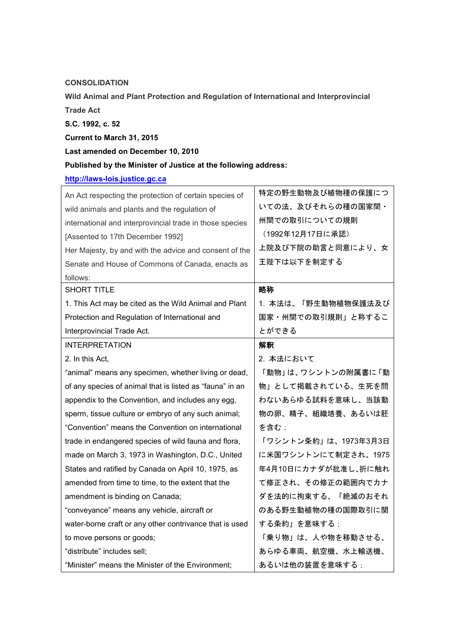**CONSOLIDATION** 

Wild Animal and Plant Protection and Regulation of International and Interprovincial

Trade Act

S.C. 1992, c. 52

Current to March 31, 2015

Last amended on December 10, 2010

## Published by the Minister of Justice at the following address:

[http://laws-lois.justice.gc.ca](http://laws-lois.justice.gc.ca/)

| An Act respecting the protection of certain species of   | 特定の野生動物及び植物種の保護につ    |
|----------------------------------------------------------|----------------------|
| wild animals and plants and the regulation of            | いての法、及びそれらの種の国家間・    |
| international and interprovincial trade in those species | 州間での取引についての規則        |
| [Assented to 17th December 1992]                         | (1992年12月17日に承認)     |
| Her Majesty, by and with the advice and consent of the   | 上院及び下院の助言と同意により、女    |
| Senate and House of Commons of Canada, enacts as         | 王陛下は以下を制定する          |
| follows:                                                 |                      |
| <b>SHORT TITLE</b>                                       | 略称                   |
| 1. This Act may be cited as the Wild Animal and Plant    | 1. 本法は、「野生動物植物保護法及び  |
| Protection and Regulation of International and           | 国家・州間での取引規則」と称するこ    |
| Interprovincial Trade Act.                               | とができる                |
| <b>INTERPRETATION</b>                                    | 解釈                   |
| 2. In this Act,                                          | 2. 本法において            |
| "animal" means any specimen, whether living or dead,     | 「動物」は、ワシントンの附属書に「動   |
| of any species of animal that is listed as "fauna" in an | 物」として掲載されている、生死を問    |
| appendix to the Convention, and includes any egg,        | わないあらゆる試料を意味し、当該動    |
| sperm, tissue culture or embryo of any such animal;      | 物の卵、精子、組織培養、あるいは胚    |
| "Convention" means the Convention on international       | を含む;                 |
| trade in endangered species of wild fauna and flora,     | 「ワシントン条約」は、1973年3月3日 |
| made on March 3, 1973 in Washington, D.C., United        | に米国ワシントンにて制定され、1975  |
| States and ratified by Canada on April 10, 1975, as      | 年4月10日にカナダが批准し、折に触れ  |
| amended from time to time, to the extent that the        | て修正され、その修正の範囲内でカナ    |
| amendment is binding on Canada;                          | ダを法的に拘束する、「絶滅のおそれ    |
| "conveyance" means any vehicle, aircraft or              | のある野生動植物の種の国際取引に関    |
| water-borne craft or any other contrivance that is used  | する条約」を意味する;          |
| to move persons or goods;                                | 「乗り物」は、人や物を移動させる、    |
| "distribute" includes sell;                              | あらゆる車両、航空機、水上輸送機、    |
| "Minister" means the Minister of the Environment;        | あるいは他の装置を意味する;       |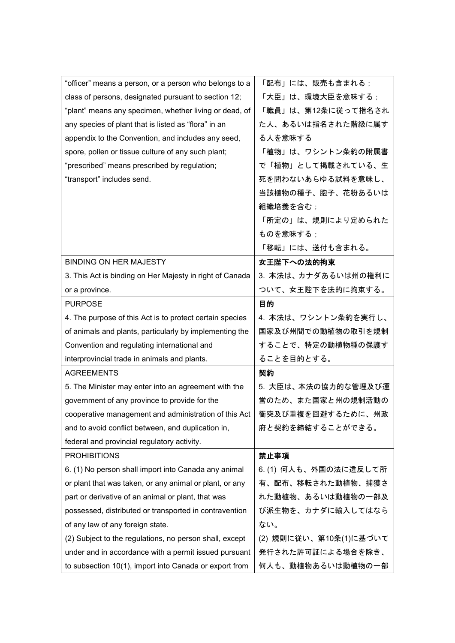| "officer" means a person, or a person who belongs to a   | 「配布」には、販売も含まれる;        |
|----------------------------------------------------------|------------------------|
| class of persons, designated pursuant to section 12;     | 「大臣」は、環境大臣を意味する ;      |
| "plant" means any specimen, whether living or dead, of   | 「職員」は、第12条に従って指名され     |
| any species of plant that is listed as "flora" in an     | た人、あるいは指名された階級に属す      |
| appendix to the Convention, and includes any seed,       | る人を意味する                |
| spore, pollen or tissue culture of any such plant;       | 「植物」は、ワシントン条約の附属書      |
| "prescribed" means prescribed by regulation;             | で「植物」として掲載されている、生      |
| "transport" includes send.                               | 死を問わないあらゆる試料を意味し、      |
|                                                          | 当該植物の種子、胞子、花粉あるいは      |
|                                                          | 組織培養を含む;               |
|                                                          | 「所定の」は、規則により定められた      |
|                                                          | ものを意味する;               |
|                                                          | 「移転」には、送付も含まれる。        |
| <b>BINDING ON HER MAJESTY</b>                            | 女王陛下への法的拘束             |
| 3. This Act is binding on Her Majesty in right of Canada | 3. 本法は、カナダあるいは州の権利に    |
| or a province.                                           | ついて、女王陛下を法的に拘束する。      |
| <b>PURPOSE</b>                                           | 目的                     |
| 4. The purpose of this Act is to protect certain species | 4. 本法は、ワシントン条約を実行し、    |
| of animals and plants, particularly by implementing the  | 国家及び州間での動植物の取引を規制      |
| Convention and regulating international and              | することで、特定の動植物種の保護す      |
| interprovincial trade in animals and plants.             | ることを目的とする。             |
| <b>AGREEMENTS</b>                                        | 契約                     |
| 5. The Minister may enter into an agreement with the     | 5. 大臣は、本法の協力的な管理及び運    |
| government of any province to provide for the            | 営のため、また国家と州の規制活動の      |
| cooperative management and administration of this Act    | 衝突及び重複を回避するために、州政      |
| and to avoid conflict between, and duplication in,       | 府と契約を締結することができる。       |
| federal and provincial regulatory activity.              |                        |
| <b>PROHIBITIONS</b>                                      | 禁止事項                   |
| 6. (1) No person shall import into Canada any animal     | 6. (1) 何人も、外国の法に違反して所  |
| or plant that was taken, or any animal or plant, or any  | 有、配布、移転された動植物、捕獲さ      |
| part or derivative of an animal or plant, that was       | れた動植物、あるいは動植物の一部及      |
| possessed, distributed or transported in contravention   | び派生物を、カナダに輸入してはなら      |
| of any law of any foreign state.                         | ない。                    |
| (2) Subject to the regulations, no person shall, except  | (2) 規則に従い、第10条(1)に基づいて |
| under and in accordance with a permit issued pursuant    |                        |
|                                                          | 発行された許可証による場合を除き、      |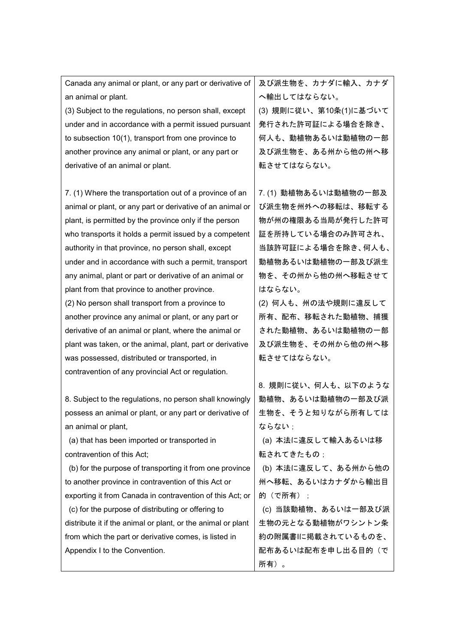| Canada any animal or plant, or any part or derivative of     | 及び派生物を、カナダに輸入、カナダ      |
|--------------------------------------------------------------|------------------------|
| an animal or plant.                                          | へ輸出してはならない。            |
| (3) Subject to the regulations, no person shall, except      | (3) 規則に従い、第10条(1)に基づいて |
| under and in accordance with a permit issued pursuant        | 発行された許可証による場合を除き、      |
| to subsection 10(1), transport from one province to          | 何人も、動植物あるいは動植物の一部      |
| another province any animal or plant, or any part or         | 及び派生物を、ある州から他の州へ移      |
| derivative of an animal or plant.                            | 転させてはならない。             |
|                                                              |                        |
| 7. (1) Where the transportation out of a province of an      | 7. (1) 動植物あるいは動植物の一部及  |
| animal or plant, or any part or derivative of an animal or   | び派生物を州外への移転は、移転する      |
| plant, is permitted by the province only if the person       | 物が州の権限ある当局が発行した許可      |
| who transports it holds a permit issued by a competent       | 証を所持している場合のみ許可され、      |
| authority in that province, no person shall, except          | 当該許可証による場合を除き、何人も、     |
| under and in accordance with such a permit, transport        | 動植物あるいは動植物の一部及び派生      |
| any animal, plant or part or derivative of an animal or      | 物を、その州から他の州へ移転させて      |
| plant from that province to another province.                | はならない。                 |
| (2) No person shall transport from a province to             | (2) 何人も、州の法や規則に違反して    |
| another province any animal or plant, or any part or         | 所有、配布、移転された動植物、捕獲      |
| derivative of an animal or plant, where the animal or        | された動植物、あるいは動植物の一部      |
| plant was taken, or the animal, plant, part or derivative    | 及び派生物を、その州から他の州へ移      |
| was possessed, distributed or transported, in                | 転させてはならない。             |
| contravention of any provincial Act or regulation.           |                        |
|                                                              | 8. 規則に従い、何人も、以下のような    |
| 8. Subject to the regulations, no person shall knowingly     | 動植物、あるいは動植物の一部及び派      |
| possess an animal or plant, or any part or derivative of     | 生物を、そうと知りながら所有しては      |
| an animal or plant,                                          | ならない ;                 |
| (a) that has been imported or transported in                 | (a) 本法に違反して輸入あるいは移     |
| contravention of this Act;                                   | 転されてきたもの;              |
| (b) for the purpose of transporting it from one province     | (b) 本法に違反して、ある州から他の    |
| to another province in contravention of this Act or          | 州へ移転、あるいはカナダから輸出目      |
| exporting it from Canada in contravention of this Act; or    | 的(で所有)                 |
| (c) for the purpose of distributing or offering to           | (c) 当該動植物、あるいは一部及び派    |
| distribute it if the animal or plant, or the animal or plant | 生物の元となる動植物がワシントン条      |
| from which the part or derivative comes, is listed in        | 約の附属書Iに掲載されているものを、     |
| Appendix I to the Convention.                                | 配布あるいは配布を申し出る目的(で      |
|                                                              | 所有)。                   |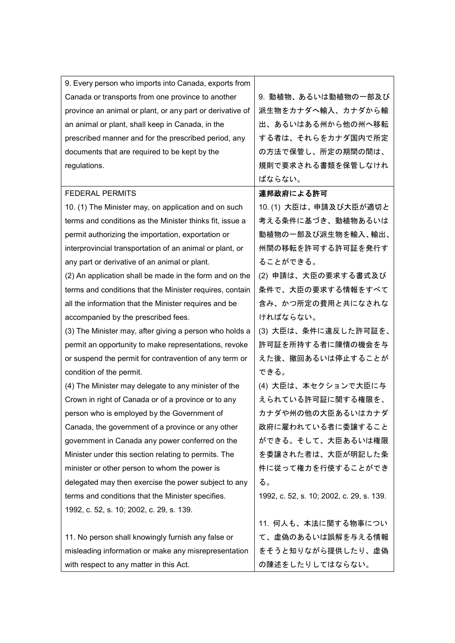| 9. Every person who imports into Canada, exports from     |                                          |
|-----------------------------------------------------------|------------------------------------------|
| Canada or transports from one province to another         | 9. 動植物、あるいは動植物の一部及び                      |
| province an animal or plant, or any part or derivative of | 派生物をカナダへ輸入、カナダから輸                        |
| an animal or plant, shall keep in Canada, in the          | 出、あるいはある州から他の州へ移転                        |
| prescribed manner and for the prescribed period, any      | する者は、それらをカナダ国内で所定                        |
| documents that are required to be kept by the             | の方法で保管し、所定の期間の間は、                        |
| regulations.                                              | 規則で要求される書類を保管しなけれ                        |
|                                                           | ばならない。                                   |
| <b>FEDERAL PERMITS</b>                                    | 連邦政府による許可                                |
| 10. (1) The Minister may, on application and on such      | 10. (1) 大臣は、申請及び大臣が適切と                   |
| terms and conditions as the Minister thinks fit, issue a  | 考える条件に基づき、動植物あるいは                        |
| permit authorizing the importation, exportation or        | 動植物の一部及び派生物を輸入、輸出、                       |
| interprovincial transportation of an animal or plant, or  | 州間の移転を許可する許可証を発行す                        |
| any part or derivative of an animal or plant.             | ることができる。                                 |
| (2) An application shall be made in the form and on the   | (2) 申請は、大臣の要求する書式及び                      |
| terms and conditions that the Minister requires, contain  | 条件で、大臣の要求する情報をすべて                        |
| all the information that the Minister requires and be     | 含み、かつ所定の費用と共になされな                        |
| accompanied by the prescribed fees.                       | ければならない。                                 |
| (3) The Minister may, after giving a person who holds a   | (3) 大臣は、条件に違反した許可証を、                     |
| permit an opportunity to make representations, revoke     | 許可証を所持する者に陳情の機会を与                        |
| or suspend the permit for contravention of any term or    | えた後、撤回あるいは停止することが                        |
| condition of the permit.                                  | できる。                                     |
| (4) The Minister may delegate to any minister of the      | (4) 大臣は、本セクションで大臣に与                      |
| Crown in right of Canada or of a province or to any       | えられている許可証に関する権限を、                        |
| person who is employed by the Government of               | カナダや州の他の大臣あるいはカナダ                        |
| Canada, the government of a province or any other         | 政府に雇われている者に委譲すること                        |
| government in Canada any power conferred on the           | ができる。そして、大臣あるいは権限                        |
| Minister under this section relating to permits. The      | を委譲された者は、大臣が明記した条                        |
| minister or other person to whom the power is             | 件に従って権力を行使することができ                        |
| delegated may then exercise the power subject to any      | る。                                       |
| terms and conditions that the Minister specifies.         | 1992, c. 52, s. 10; 2002, c. 29, s. 139. |
| 1992, c. 52, s. 10; 2002, c. 29, s. 139.                  |                                          |
|                                                           | 11. 何人も、本法に関する物事につい                      |
| 11. No person shall knowingly furnish any false or        | て、虚偽のあるいは誤解を与える情報                        |
| misleading information or make any misrepresentation      | をそうと知りながら提供したり、虚偽                        |
| with respect to any matter in this Act.                   | の陳述をしたりしてはならない。                          |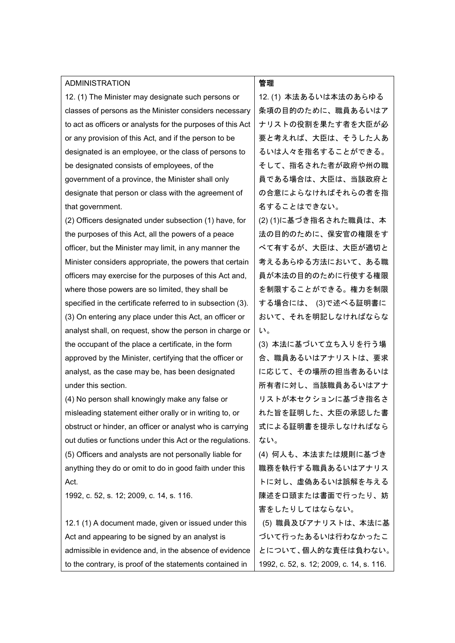| <b>ADMINISTRATION</b>                                       | 管理                                       |
|-------------------------------------------------------------|------------------------------------------|
| 12. (1) The Minister may designate such persons or          | 12. (1) 本法あるいは本法のあらゆる                    |
| classes of persons as the Minister considers necessary      | 条項の目的のために、職員あるいはア                        |
| to act as officers or analysts for the purposes of this Act | ナリストの役割を果たす者を大臣が必                        |
| or any provision of this Act, and if the person to be       | 要と考えれば、大臣は、そうした人あ                        |
| designated is an employee, or the class of persons to       | るいは人々を指名することができる。                        |
| be designated consists of employees, of the                 | そして、指名された者が政府や州の職                        |
| government of a province, the Minister shall only           | 員である場合は、大臣は、当該政府と                        |
| designate that person or class with the agreement of        | の合意によらなければそれらの者を指                        |
| that government.                                            | 名することはできない。                              |
| (2) Officers designated under subsection (1) have, for      | (2) (1)に基づき指名された職員は、本                    |
| the purposes of this Act, all the powers of a peace         | 法の目的のために、保安官の権限をす                        |
| officer, but the Minister may limit, in any manner the      | べて有するが、大臣は、大臣が適切と                        |
| Minister considers appropriate, the powers that certain     | 考えるあらゆる方法において、ある職                        |
| officers may exercise for the purposes of this Act and,     | 員が本法の目的のために行使する権限                        |
| where those powers are so limited, they shall be            | を制限することができる。権力を制限                        |
| specified in the certificate referred to in subsection (3). | する場合には、 (3)で述べる証明書に                      |
| (3) On entering any place under this Act, an officer or     | おいて、それを明記しなければならな                        |
| analyst shall, on request, show the person in charge or     | い。                                       |
| the occupant of the place a certificate, in the form        | (3) 本法に基づいて立ち入りを行う場                      |
| approved by the Minister, certifying that the officer or    | 合、職員あるいはアナリストは、要求                        |
| analyst, as the case may be, has been designated            | に応じて、その場所の担当者あるいは                        |
| under this section.                                         | 所有者に対し、当該職員あるいはアナ                        |
| (4) No person shall knowingly make any false or             | リストが本セクションに基づき指名さ                        |
| misleading statement either orally or in writing to, or     | れた旨を証明した、大臣の承認した書                        |
| obstruct or hinder, an officer or analyst who is carrying   | 式による証明書を提示しなければなら                        |
| out duties or functions under this Act or the regulations.  | ない。                                      |
| (5) Officers and analysts are not personally liable for     | (4) 何人も、本法または規則に基づき                      |
| anything they do or omit to do in good faith under this     | 職務を執行する職員あるいはアナリス                        |
| Act.                                                        | トに対し、虚偽あるいは誤解を与える                        |
| 1992, c. 52, s. 12; 2009, c. 14, s. 116.                    | 陳述を口頭または書面で行ったり、妨                        |
|                                                             | 害をしたりしてはならない。                            |
| 12.1 (1) A document made, given or issued under this        | (5) 職員及びアナリストは、本法に基                      |
| Act and appearing to be signed by an analyst is             | づいて行ったあるいは行わなかったこ                        |
| admissible in evidence and, in the absence of evidence      | とについて、個人的な責任は負わない。                       |
| to the contrary, is proof of the statements contained in    | 1992, c. 52, s. 12; 2009, c. 14, s. 116. |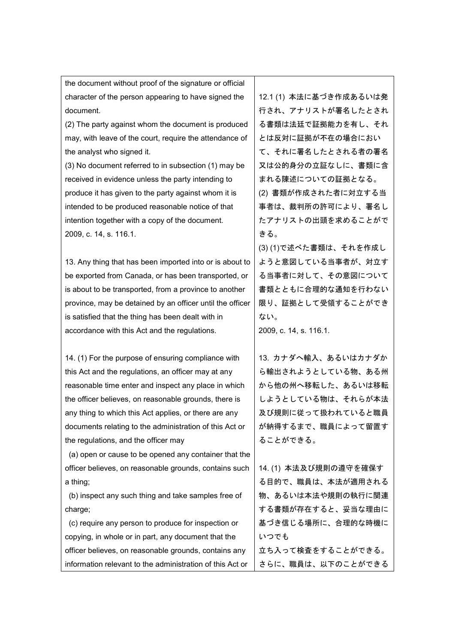character of the person appearing to have signed the document. (2) The party against whom the document is produced may, with leave of the court, require the attendance of the analyst who signed it. (3) No document referred to in subsection (1) may be received in evidence unless the party intending to produce it has given to the party against whom it is intended to be produced reasonable notice of that intention together with a copy of the document. 2009, c. 14, s. 116.1. 13. Any thing that has been imported into or is about to be exported from Canada, or has been transported, or is about to be transported, from a province to another province, may be detained by an officer until the officer is satisfied that the thing has been dealt with in accordance with this Act and the regulations. 14. (1) For the purpose of ensuring compliance with this Act and the regulations, an officer may at any reasonable time enter and inspect any place in which the officer believes, on reasonable grounds, there is any thing to which this Act applies, or there are any documents relating to the administration of this Act or the regulations, and the officer may (a) open or cause to be opened any container that the officer believes, on reasonable grounds, contains such a thing; (b) inspect any such thing and take samples free of charge; (c) require any person to produce for inspection or copying, in whole or in part, any document that the officer believes, on reasonable grounds, contains any information relevant to the administration of this Act or 12.1 (1) 本法に基づき作成あるいは発 行され、アナリストが署名したとされ る書類は法廷で証拠能力を有し、それ とは反対に証拠が不在の場合におい て、それに署名したとされる者の署名 又は公的身分の立証なしに、書類に含 まれる陳述についての証拠となる。 (2) 書類が作成された者に対立する当 事者は、裁判所の許可により、署名し たアナリストの出頭を求めることがで きる。 (3) (1)で述べた書類は、それを作成し ようと意図している当事者が、対立す る当事者に対して、その意図について 書類とともに合理的な通知を行わない 限り、証拠として受領することができ ない。 2009, c. 14, s. 116.1. 13. カナダへ輸入、あるいはカナダか ら輸出されようとしている物、ある州 から他の州へ移転した、あるいは移転 しようとしている物は、それらが本法 及び規則に従って扱われていると職員 が納得するまで、職員によって留置す ることができる。 14. (1) 本法及び規則の遵守を確保す る目的で、職員は、本法が適用される 物、あるいは本法や規則の執行に関連 する書類が存在すると、妥当な理由に 基づき信じる場所に、合理的な時機に いつでも 立ち入って検査をすることができる。 さらに、職員は、以下のことができる

the document without proof of the signature or official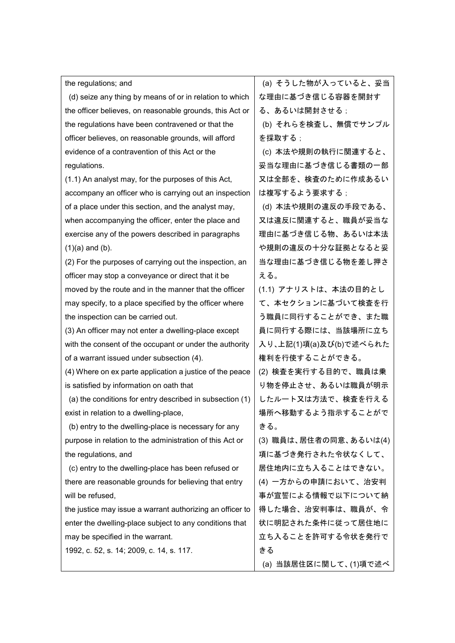| the regulations; and                                      | (a) そうした物が入っていると、妥当     |
|-----------------------------------------------------------|-------------------------|
| (d) seize any thing by means of or in relation to which   | な理由に基づき信じる容器を開封す        |
| the officer believes, on reasonable grounds, this Act or  | る、あるいは開封させる;            |
| the regulations have been contravened or that the         | (b) それらを検査し、無償でサンプル     |
| officer believes, on reasonable grounds, will afford      | を採取する;                  |
| evidence of a contravention of this Act or the            | (c) 本法や規則の執行に関連すると、     |
| regulations.                                              | 妥当な理由に基づき信じる書類の一部       |
| (1.1) An analyst may, for the purposes of this Act,       | 又は全部を、検査のために作成あるい       |
| accompany an officer who is carrying out an inspection    | は複写するよう要求する;            |
| of a place under this section, and the analyst may,       | (d) 本法や規則の違反の手段である、     |
| when accompanying the officer, enter the place and        | 又は違反に関連すると、職員が妥当な       |
| exercise any of the powers described in paragraphs        | 理由に基づき信じる物、あるいは本法       |
| $(1)(a)$ and $(b)$ .                                      | や規則の違反の十分な証拠となると妥       |
| (2) For the purposes of carrying out the inspection, an   | 当な理由に基づき信じる物を差し押さ       |
| officer may stop a conveyance or direct that it be        | える。                     |
| moved by the route and in the manner that the officer     | (1.1) アナリストは、本法の目的とし    |
| may specify, to a place specified by the officer where    | て、本セクションに基づいて検査を行       |
| the inspection can be carried out.                        | う職員に同行することができ、また職       |
| (3) An officer may not enter a dwelling-place except      | 員に同行する際には、当該場所に立ち       |
| with the consent of the occupant or under the authority   | 入り、上記(1)項(a)及び(b)で述べられた |
| of a warrant issued under subsection (4).                 | 権利を行使することができる。          |
| (4) Where on ex parte application a justice of the peace  | (2) 検査を実行する目的で、職員は乗     |
| is satisfied by information on oath that                  | り物を停止させ、あるいは職員が明示       |
| (a) the conditions for entry described in subsection (1)  | したルート又は方法で、検査を行える       |
| exist in relation to a dwelling-place,                    | 場所へ移動するよう指示することがで       |
| (b) entry to the dwelling-place is necessary for any      | きる。                     |
| purpose in relation to the administration of this Act or  | (3) 職員は、居住者の同意、あるいは(4)  |
| the regulations, and                                      | 項に基づき発行された令状なくして、       |
| (c) entry to the dwelling-place has been refused or       | 居住地内に立ち入ることはできない。       |
| there are reasonable grounds for believing that entry     | (4) 一方からの申請において、治安判     |
| will be refused,                                          | 事が宣誓による情報で以下について納       |
| the justice may issue a warrant authorizing an officer to | 得した場合、治安判事は、職員が、令       |
| enter the dwelling-place subject to any conditions that   | 状に明記された条件に従って居住地に       |
| may be specified in the warrant.                          | 立ち入ることを許可する令状を発行で       |
| 1992, c. 52, s. 14; 2009, c. 14, s. 117.                  | きる                      |
|                                                           | (a) 当該居住区に関して、(1)項で述べ   |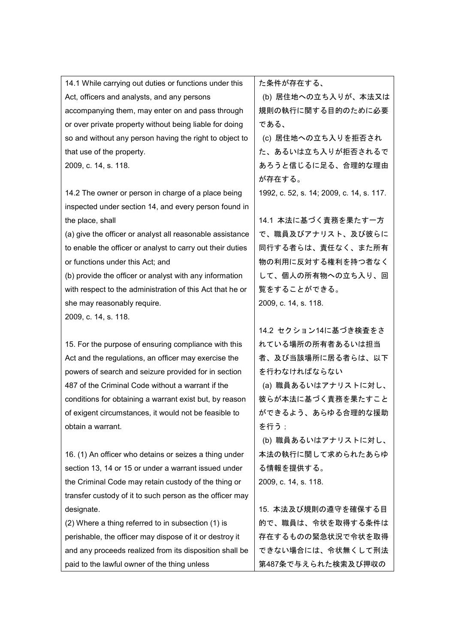| 14.1 While carrying out duties or functions under this     | た条件が存在する、                                |
|------------------------------------------------------------|------------------------------------------|
| Act, officers and analysts, and any persons                | (b) 居住地への立ち入りが、本法又は                      |
| accompanying them, may enter on and pass through           | 規則の執行に関する目的のために必要                        |
| or over private property without being liable for doing    | である、                                     |
| so and without any person having the right to object to    | (c) 居住地への立ち入りを拒否され                       |
| that use of the property.                                  | た、あるいは立ち入りが拒否されるで                        |
| 2009, c. 14, s. 118.                                       | あろうと信じるに足る、合理的な理由                        |
|                                                            | が存在する。                                   |
| 14.2 The owner or person in charge of a place being        | 1992, c. 52, s. 14; 2009, c. 14, s. 117. |
| inspected under section 14, and every person found in      |                                          |
| the place, shall                                           | 14.1 本法に基づく責務を果たす一方                      |
| (a) give the officer or analyst all reasonable assistance  | で、職員及びアナリスト、及び彼らに                        |
| to enable the officer or analyst to carry out their duties | 同行する者らは、責任なく、また所有                        |
| or functions under this Act; and                           | 物の利用に反対する権利を持つ者なく                        |
| (b) provide the officer or analyst with any information    | して、個人の所有物への立ち入り、回                        |
| with respect to the administration of this Act that he or  | 覧をすることができる。                              |
| she may reasonably require.                                | 2009, c. 14, s. 118.                     |
| 2009, c. 14, s. 118.                                       |                                          |
|                                                            | 14.2 セクション14に基づき検査をさ                     |
| 15. For the purpose of ensuring compliance with this       | れている場所の所有者あるいは担当                         |
| Act and the regulations, an officer may exercise the       | 者、及び当該場所に居る者らは、以下                        |
| powers of search and seizure provided for in section       | を行わなければならない                              |
| 487 of the Criminal Code without a warrant if the          | (a) 職員あるいはアナリストに対し、                      |
| conditions for obtaining a warrant exist but, by reason    | 彼らが本法に基づく責務を果たすこと                        |
| of exigent circumstances, it would not be feasible to      | ができるよう、あらゆる合理的な援助                        |
| obtain a warrant.                                          | を行う;                                     |
|                                                            | (b) 職員あるいはアナリストに対し、                      |
| 16. (1) An officer who detains or seizes a thing under     | 本法の執行に関して求められたあらゆ                        |
| section 13, 14 or 15 or under a warrant issued under       | る情報を提供する。                                |
| the Criminal Code may retain custody of the thing or       | 2009, c. 14, s. 118.                     |
| transfer custody of it to such person as the officer may   |                                          |
| designate.                                                 | 15. 本法及び規則の遵守を確保する目                      |
| (2) Where a thing referred to in subsection (1) is         | 的で、職員は、令状を取得する条件は                        |
| perishable, the officer may dispose of it or destroy it    | 存在するものの緊急状況で令状を取得                        |
| and any proceeds realized from its disposition shall be    | できない場合には、令状無くして刑法                        |
| paid to the lawful owner of the thing unless               | 第487条で与えられた検索及び押収の                       |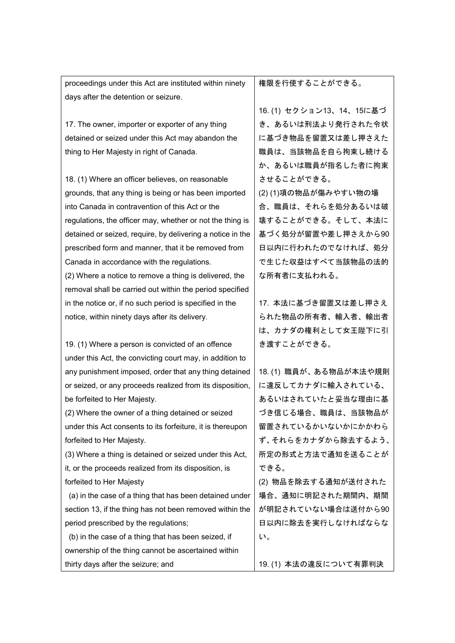| thing to Her Majesty in right of Canada.                   | 職員は、当該物品を自ら拘束し続ける      |
|------------------------------------------------------------|------------------------|
|                                                            | か、あるいは職員が指名した者に拘束      |
| 18. (1) Where an officer believes, on reasonable           | させることができる。             |
| grounds, that any thing is being or has been imported      | (2)(1)項の物品が傷みやすい物の場    |
| into Canada in contravention of this Act or the            | 合、職員は、それらを処分あるいは破      |
| regulations, the officer may, whether or not the thing is  | 壊することができる。そして、本法に      |
| detained or seized, require, by delivering a notice in the | 基づく処分が留置や差し押さえから90     |
| prescribed form and manner, that it be removed from        | 日以内に行われたのでなければ、処分      |
| Canada in accordance with the regulations.                 | で生じた収益はすべて当該物品の法的      |
| (2) Where a notice to remove a thing is delivered, the     | な所有者に支払われる。            |
| removal shall be carried out within the period specified   |                        |
| in the notice or, if no such period is specified in the    | 17. 本法に基づき留置又は差し押さえ    |
| notice, within ninety days after its delivery.             | られた物品の所有者、輸入者、輸出者      |
|                                                            | は、カナダの権利として女王陛下に引      |
| 19. (1) Where a person is convicted of an offence          | き渡すことができる。             |
| under this Act, the convicting court may, in addition to   |                        |
| any punishment imposed, order that any thing detained      | 18. (1) 職員が、ある物品が本法や規則 |
| or seized, or any proceeds realized from its disposition,  | に違反してカナダに輸入されている、      |
| be forfeited to Her Majesty.                               | あるいはされていたと妥当な理由に基      |
| (2) Where the owner of a thing detained or seized          | づき信じる場合、職員は、当該物品が      |
| under this Act consents to its forfeiture, it is thereupon | 留置されているかいないかにかかわら      |
| forfeited to Her Majesty.                                  | ず、それらをカナダから除去するよう、     |
| (3) Where a thing is detained or seized under this Act,    | 所定の形式と方法で通知を送ることが      |
| it, or the proceeds realized from its disposition, is      | できる。                   |
| forfeited to Her Majesty                                   | (2) 物品を除去する通知が送付された    |
| (a) in the case of a thing that has been detained under    | 場合、通知に明記された期間内、期間      |
| section 13, if the thing has not been removed within the   | が明記されていない場合は送付から90     |
| period prescribed by the regulations;                      | 日以内に除去を実行しなければならな      |
| (b) in the case of a thing that has been seized, if        | い。                     |
| ownership of the thing cannot be ascertained within        |                        |
| thirty days after the seizure; and                         | 19. (1) 本法の違反について有罪判決  |

権限を行使することができる。

16. (1) セクション13、14、15に基づ き、あるいは刑法より発行された令状 に基づき物品を留置又は差し押さえた

proceedings under this Act are instituted within ninety days after the detention or seizure.

17. The owner, importer or exporter of any thing detained or seized under this Act may abandon the thing to Her Majesty in right of Canada.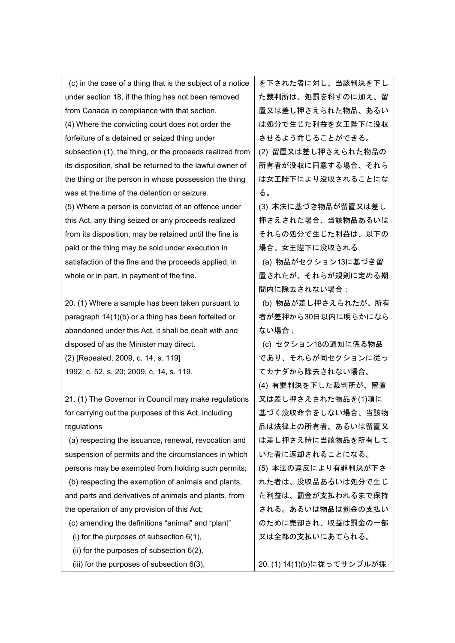(c) in the case of a thing that is the subject of a notice under section 18, if the thing has not been removed from Canada in compliance with that section. (4) Where the convicting court does not order the forfeiture of a detained or seized thing under subsection (1), the thing, or the proceeds realized from its disposition, shall be returned to the lawful owner of the thing or the person in whose possession the thing was at the time of the detention or seizure. (5) Where a person is convicted of an offence under this Act, any thing seized or any proceeds realized from its disposition, may be retained until the fine is paid or the thing may be sold under execution in satisfaction of the fine and the proceeds applied, in whole or in part, in payment of the fine. 20. (1) Where a sample has been taken pursuant to paragraph 14(1)(b) or a thing has been forfeited or abandoned under this Act, it shall be dealt with and disposed of as the Minister may direct. (2) [Repealed, 2009, c. 14, s. 119] 1992, c. 52, s. 20; 2009, c. 14, s. 119. 21. (1) The Governor in Council may make regulations for carrying out the purposes of this Act, including regulations (a) respecting the issuance, renewal, revocation and suspension of permits and the circumstances in which persons may be exempted from holding such permits; (b) respecting the exemption of animals and plants, and parts and derivatives of animals and plants, from the operation of any provision of this Act; (c) amending the definitions "animal" and "plant" (i) for the purposes of subsection 6(1), る。 ない場合:

- (ii) for the purposes of subsection 6(2),
- (iii) for the purposes of subsection 6(3),

を下された者に対し、当該判決を下し た裁判所は、処罰を科すのに加え、留 置又は差し押さえられた物品、あるい は処分で生じた利益を女王陛下に没収 させるよう命じることができる。

(2) 留置又は差し押さえられた物品の 所有者が没収に同意する場合、それら は女王陛下により没収されることにな

(3) 本法に基づき物品が留置又は差し 押さえされた場合、当該物品あるいは それらの処分で生じた利益は、以下の 場合、女王陛下に没収される

(a) 物品がセクション13に基づき留 置されたが、それらが規則に定める期 間内に除去されない場合:

(b) 物品が差し押さえられたが、所有 者が差押から30日以内に明らかになら

(c) セクション18の通知に係る物品 であり、それらが同セクションに従っ てカナダから除去されない場合。 (4) 有罪判決を下した裁判所が、留置

又は差し押さえされた物品を(1)項に 基づく没収命令をしない場合、当該物 品は法律上の所有者、あるいは留置又 は差し押さえ時に当該物品を所有して いた者に返却されることになる。

(5) 本法の違反により有罪判決が下さ れた者は、没収品あるいは処分で生じ た利益は、罰金が支払われるまで保持 される。あるいは物品は罰金の支払い のために売却され、収益は罰金の一部 又は全部の支払いにあてられる。

20. (1) 14(1)(b)に従ってサンプルが採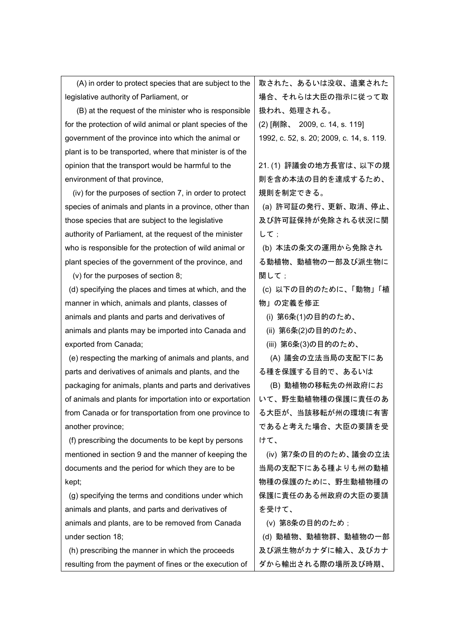| (A) in order to protect species that are subject to the   | 取された、あるいは没収、遺棄された                        |
|-----------------------------------------------------------|------------------------------------------|
| legislative authority of Parliament, or                   | 場合、それらは大臣の指示に従って取                        |
| (B) at the request of the minister who is responsible     | 扱われ、処理される。                               |
| for the protection of wild animal or plant species of the | (2) [削除、 2009, c. 14, s. 119]            |
| government of the province into which the animal or       | 1992, c. 52, s. 20; 2009, c. 14, s. 119. |
| plant is to be transported, where that minister is of the |                                          |
| opinion that the transport would be harmful to the        | 21. (1) 評議会の地方長官は、以下の規                   |
| environment of that province,                             | 則を含め本法の目的を達成するため、                        |
| (iv) for the purposes of section 7, in order to protect   | 規則を制定できる。                                |
| species of animals and plants in a province, other than   | (a) 許可証の発行、更新、取消、停止、                     |
| those species that are subject to the legislative         | 及び許可証保持が免除される状況に関                        |
| authority of Parliament, at the request of the minister   | して ;                                     |
| who is responsible for the protection of wild animal or   | (b) 本法の条文の運用から免除され                       |
| plant species of the government of the province, and      | る動植物、動植物の一部及び派生物に                        |
| (v) for the purposes of section 8;                        | 関して;                                     |
| (d) specifying the places and times at which, and the     | (c) 以下の目的のために、「動物」「植                     |
| manner in which, animals and plants, classes of           | 物」の定義を修正                                 |
| animals and plants and parts and derivatives of           | (i) 第6条(1)の目的のため、                        |
| animals and plants may be imported into Canada and        | (ii) 第6条(2)の目的のため、                       |
| exported from Canada;                                     | (iii) 第6条(3)の目的のため、                      |
| (e) respecting the marking of animals and plants, and     | (A) 議会の立法当局の支配下にあ                        |
| parts and derivatives of animals and plants, and the      | る種を保護する目的で、あるいは                          |
| packaging for animals, plants and parts and derivatives   | (B) 動植物の移転先の州政府にお                        |
| of animals and plants for importation into or exportation | いて、野生動植物種の保護に責任のあ                        |
| from Canada or for transportation from one province to    | る大臣が、当該移転が州の環境に有害                        |
| another province;                                         | であると考えた場合、大臣の要請を受                        |
| (f) prescribing the documents to be kept by persons       | けて、                                      |
| mentioned in section 9 and the manner of keeping the      | (iv) 第7条の目的のため、議会の立法                     |
| documents and the period for which they are to be         | 当局の支配下にある種よりも州の動植                        |
| kept;                                                     | 物種の保護のために、野生動植物種の                        |
| (g) specifying the terms and conditions under which       | 保護に責任のある州政府の大臣の要請                        |
| animals and plants, and parts and derivatives of          | を受けて、                                    |
| animals and plants, are to be removed from Canada         | (v) 第8条の目的のため;                           |
| under section 18;                                         | (d) 動植物、動植物群、動植物の一部                      |
| (h) prescribing the manner in which the proceeds          | 及び派生物がカナダに輸入、及びカナ                        |
| resulting from the payment of fines or the execution of   | ダから輸出される際の場所及び時期、                        |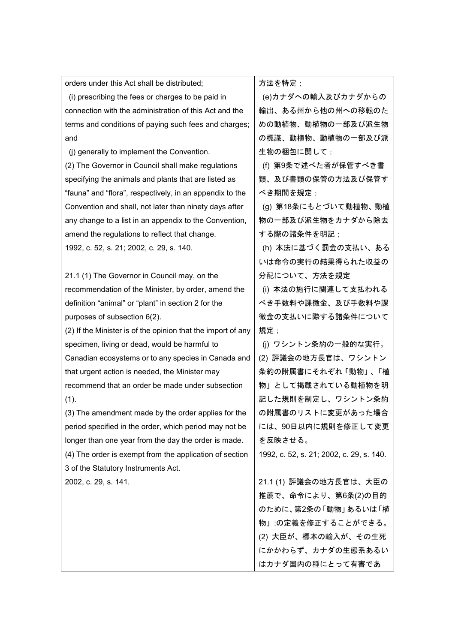| orders under this Act shall be distributed;                  | 方法を特定;                                   |
|--------------------------------------------------------------|------------------------------------------|
| (i) prescribing the fees or charges to be paid in            | (e)カナダへの輸入及びカナダからの                       |
| connection with the administration of this Act and the       | 輸出、ある州から他の州への移転のた                        |
| terms and conditions of paying such fees and charges;        | めの動植物、動植物の一部及び派生物                        |
| and                                                          | の標識、動植物、動植物の一部及び派                        |
| (i) generally to implement the Convention.                   | 生物の梱包に関して;                               |
| (2) The Governor in Council shall make regulations           | (f) 第9条で述べた者が保管すべき書                      |
| specifying the animals and plants that are listed as         | 類、及び書類の保管の方法及び保管す                        |
| "fauna" and "flora", respectively, in an appendix to the     | べき期間を規定;                                 |
| Convention and shall, not later than ninety days after       | (g) 第18条にもとづいて動植物、動植                     |
| any change to a list in an appendix to the Convention,       | 物の一部及び派生物をカナダから除去                        |
| amend the regulations to reflect that change.                | する際の諸条件を明記;                              |
| 1992, c. 52, s. 21; 2002, c. 29, s. 140.                     | (h) 本法に基づく罰金の支払い、ある                      |
|                                                              | いは命令の実行の結果得られた収益の                        |
| 21.1 (1) The Governor in Council may, on the                 | 分配について、方法を規定                             |
| recommendation of the Minister, by order, amend the          | (i) 本法の施行に関連して支払われる                      |
| definition "animal" or "plant" in section 2 for the          | べき手数料や課徴金、及び手数料や課                        |
| purposes of subsection 6(2).                                 | 徴金の支払いに際する諸条件について                        |
| (2) If the Minister is of the opinion that the import of any | 規定;                                      |
| specimen, living or dead, would be harmful to                | (j) ワシントン条約の一般的な実行。                      |
| Canadian ecosystems or to any species in Canada and          | (2) 評議会の地方長官は、ワシントン                      |
| that urgent action is needed, the Minister may               | 条約の附属書にそれぞれ「動物」、「植                       |
| recommend that an order be made under subsection             | 物」として掲載されている動植物を明                        |
| (1).                                                         | 記した規則を制定し、ワシントン条約                        |
| (3) The amendment made by the order applies for the          | の附属書のリストに変更があった場合                        |
| period specified in the order, which period may not be       | には、90日以内に規則を修正して変更                       |
| longer than one year from the day the order is made.         | を反映させる。                                  |
| (4) The order is exempt from the application of section      | 1992, c. 52, s. 21; 2002, c. 29, s. 140. |
| 3 of the Statutory Instruments Act.                          |                                          |
| 2002, c. 29, s. 141.                                         | 21.1 (1) 評議会の地方長官は、大臣の                   |
|                                                              | 推薦で、命令により、第6条(2)の目的                      |
|                                                              | のために、第2条の「動物」あるいは「植                      |
|                                                              | 物」:の定義を修正することができる。                       |
|                                                              | (2) 大臣が、標本の輸入が、その生死                      |
|                                                              | にかかわらず、カナダの生態系あるい                        |
|                                                              | はカナダ国内の種にとって有害であ                         |
|                                                              |                                          |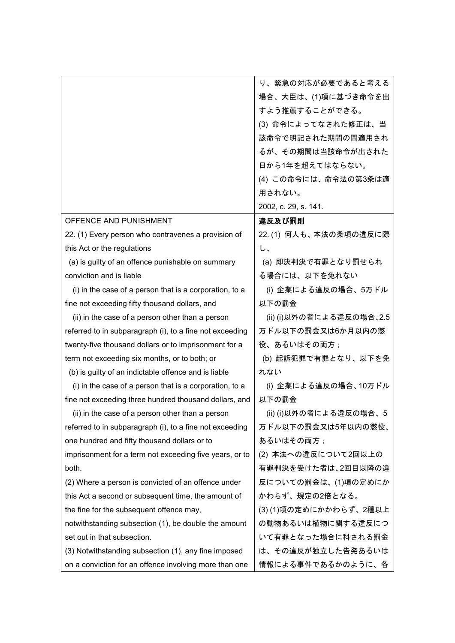|                                                          | り、緊急の対応が必要であると考える        |
|----------------------------------------------------------|--------------------------|
|                                                          | 場合、大臣は、(1)項に基づき命令を出      |
|                                                          | すよう推薦することができる。           |
|                                                          | (3) 命令によってなされた修正は、当      |
|                                                          | 該命令で明記された期間の間適用され        |
|                                                          | るが、その期間は当該命令が出された        |
|                                                          | 日から1年を超えてはならない。          |
|                                                          | (4) この命令には、命令法の第3条は適     |
|                                                          | 用されない。                   |
|                                                          | 2002, c. 29, s. 141.     |
| OFFENCE AND PUNISHMENT                                   | 違反及び罰則                   |
| 22. (1) Every person who contravenes a provision of      | 22. (1) 何人も、本法の条項の違反に際   |
| this Act or the regulations                              | し、                       |
| (a) is guilty of an offence punishable on summary        | (a) 即決判決で有罪となり罰せられ       |
| conviction and is liable                                 | る場合には、以下を免れない            |
| (i) in the case of a person that is a corporation, to a  | (i) 企業による違反の場合、5万ドル      |
| fine not exceeding fifty thousand dollars, and           | 以下の罰金                    |
| (ii) in the case of a person other than a person         | (ii) (i)以外の者による違反の場合、2.5 |
| referred to in subparagraph (i), to a fine not exceeding | 万ドル以下の罰金又は6か月以内の懲        |
| twenty-five thousand dollars or to imprisonment for a    | 役、あるいはその両方;              |
| term not exceeding six months, or to both; or            | (b) 起訴犯罪で有罪となり、以下を免      |
| (b) is guilty of an indictable offence and is liable     | れない                      |
| (i) in the case of a person that is a corporation, to a  | (i) 企業による違反の場合、10万ドル     |
| fine not exceeding three hundred thousand dollars, and   | 以下の罰金                    |
| (ii) in the case of a person other than a person         | (ii) (i)以外の者による違反の場合、5   |
| referred to in subparagraph (i), to a fine not exceeding | 万ドル以下の罰金又は5年以内の懲役、       |
| one hundred and fifty thousand dollars or to             | あるいはその両方;                |
| imprisonment for a term not exceeding five years, or to  | (2) 本法への違反について2回以上の      |
| both.                                                    | 有罪判決を受けた者は、2回目以降の違       |
| (2) Where a person is convicted of an offence under      | 反についての罰金は、(1)項の定めにか      |
| this Act a second or subsequent time, the amount of      | かわらず、規定の2倍となる。           |
| the fine for the subsequent offence may,                 | (3)(1)項の定めにかかわらず、2種以上    |
| notwithstanding subsection (1), be double the amount     | の動物あるいは植物に関する違反につ        |
| set out in that subsection.                              | いて有罪となった場合に科される罰金        |
| (3) Notwithstanding subsection (1), any fine imposed     | は、その違反が独立した告発あるいは        |
| on a conviction for an offence involving more than one   | 情報による事件であるかのように、各        |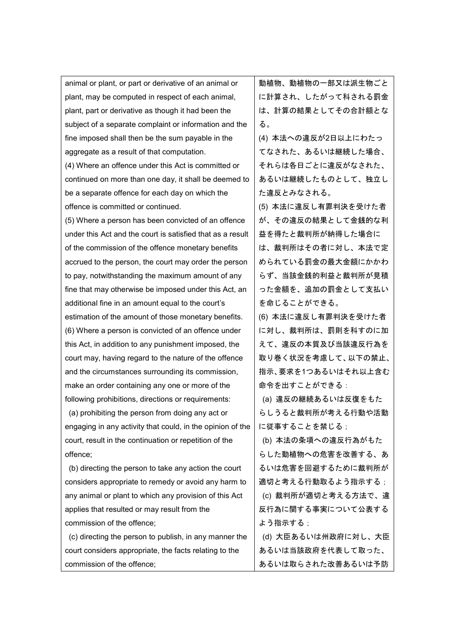| animal or plant, or part or derivative of an animal or     | 動植物、動植物の一部又は派生物ごと   |
|------------------------------------------------------------|---------------------|
| plant, may be computed in respect of each animal,          | に計算され、したがって科される罰金   |
| plant, part or derivative as though it had been the        | は、計算の結果としてその合計額とな   |
| subject of a separate complaint or information and the     | る。                  |
| fine imposed shall then be the sum payable in the          | (4) 本法への違反が2日以上にわたっ |
| aggregate as a result of that computation.                 | てなされた、あるいは継続した場合、   |
| (4) Where an offence under this Act is committed or        | それらは各日ごとに違反がなされた、   |
| continued on more than one day, it shall be deemed to      | あるいは継続したものとして、独立し   |
| be a separate offence for each day on which the            | た違反とみなされる。          |
| offence is committed or continued.                         | (5) 本法に違反し有罪判決を受けた者 |
| (5) Where a person has been convicted of an offence        | が、その違反の結果として金銭的な利   |
| under this Act and the court is satisfied that as a result | 益を得たと裁判所が納得した場合に    |
| of the commission of the offence monetary benefits         | は、裁判所はその者に対し、本法で定   |
| accrued to the person, the court may order the person      | められている罰金の最大金額にかかわ   |
| to pay, notwithstanding the maximum amount of any          | らず、当該金銭的利益と裁判所が見積   |
| fine that may otherwise be imposed under this Act, an      | った金額を、追加の罰金として支払い   |
| additional fine in an amount equal to the court's          | を命じることができる。         |
| estimation of the amount of those monetary benefits.       | (6) 本法に違反し有罪判決を受けた者 |
| (6) Where a person is convicted of an offence under        | に対し、裁判所は、罰則を科すのに加   |
| this Act, in addition to any punishment imposed, the       | えて、違反の本質及び当該違反行為を   |
| court may, having regard to the nature of the offence      | 取り巻く状況を考慮して、以下の禁止、  |
| and the circumstances surrounding its commission,          | 指示、要求を1つあるいはそれ以上含む  |
| make an order containing any one or more of the            | 命令を出すことができる:        |
| following prohibitions, directions or requirements:        | (a) 違反の継続あるいは反復をもた  |
| (a) prohibiting the person from doing any act or           | らしうると裁判所が考える行動や活動   |
| engaging in any activity that could, in the opinion of the | に従事することを禁じる;        |
| court, result in the continuation or repetition of the     | (b) 本法の条項への違反行為がもた  |
| offence;                                                   | らした動植物への危害を改善する、あ   |
| (b) directing the person to take any action the court      | るいは危害を回避するために裁判所が   |
| considers appropriate to remedy or avoid any harm to       | 適切と考える行動取るよう指示する;   |
| any animal or plant to which any provision of this Act     | (c) 裁判所が適切と考える方法で、違 |
| applies that resulted or may result from the               | 反行為に関する事実について公表する   |
| commission of the offence;                                 | よう指示する;             |
| (c) directing the person to publish, in any manner the     | (d) 大臣あるいは州政府に対し、大臣 |
| court considers appropriate, the facts relating to the     | あるいは当該政府を代表して取った、   |
| commission of the offence;                                 | あるいは取らされた改善あるいは予防   |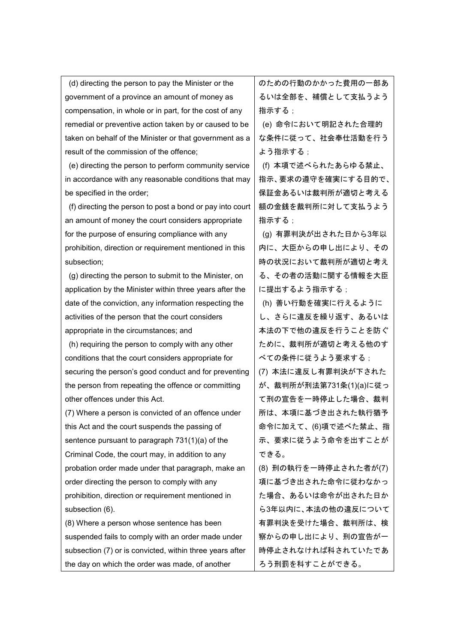(d) directing the person to pay the Minister or the government of a province an amount of money as compensation, in whole or in part, for the cost of any remedial or preventive action taken by or caused to be taken on behalf of the Minister or that government as a result of the commission of the offence; (e) directing the person to perform community service in accordance with any reasonable conditions that may be specified in the order; (f) directing the person to post a bond or pay into court an amount of money the court considers appropriate for the purpose of ensuring compliance with any prohibition, direction or requirement mentioned in this subsection; (g) directing the person to submit to the Minister, on application by the Minister within three years after the date of the conviction, any information respecting the activities of the person that the court considers appropriate in the circumstances; and (h) requiring the person to comply with any other conditions that the court considers appropriate for securing the person's good conduct and for preventing the person from repeating the offence or committing other offences under this Act. (7) Where a person is convicted of an offence under this Act and the court suspends the passing of sentence pursuant to paragraph 731(1)(a) of the Criminal Code, the court may, in addition to any probation order made under that paragraph, make an order directing the person to comply with any prohibition, direction or requirement mentioned in subsection (6). (8) Where a person whose sentence has been suspended fails to comply with an order made under subsection (7) or is convicted, within three years after the day on which the order was made, of another のための行動のかかった費用の一部あ るいは全部を、補償として支払うよう 指示する; (e) 命令において明記された合理的 な条件に従って、社会奉仕活動を行う よう指示する; (f) 本項で述べられたあらゆる禁止、 指示、要求の遵守を確実にする目的で、 保証金あるいは裁判所が適切と考える 額の金銭を裁判所に対して支払うよう 指示する; (g) 有罪判決が出された日から3年以 内に、大臣からの申し出により、その 時の状況において裁判所が適切と考え る、その者の活動に関する情報を大臣 に提出するよう指示する: (h) 善い行動を確実に行えるように し、さらに違反を繰り返す、あるいは 本法の下で他の違反を行うことを防ぐ ために、裁判所が適切と考える他のす べての条件に従うよう要求する; (7) 本法に違反し有罪判決が下された が、裁判所が刑法第731条(1)(a)に従っ て刑の宣告を一時停止した場合、裁判 所は、本項に基づき出された執行猶予 命令に加えて、(6)項で述べた禁止、指 示、要求に従うよう命令を出すことが できる。 (8) 刑の執行を一時停止された者が(7) 項に基づき出された命令に従わなかっ た場合、あるいは命令が出された日か ら3年以内に、本法の他の違反について 有罪判決を受けた場合、裁判所は、検 察からの申し出により、刑の宣告が一 時停止されなければ科されていたであ ろう刑罰を科すことができる。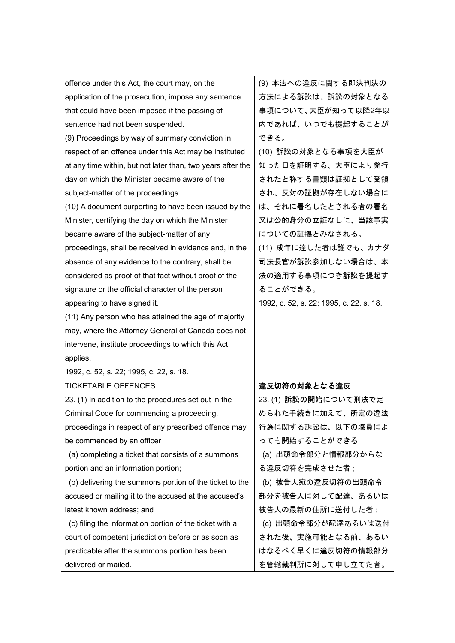| offence under this Act, the court may, on the               | (9) 本法への違反に関する即決判決の                     |
|-------------------------------------------------------------|-----------------------------------------|
| application of the prosecution, impose any sentence         | 方法による訴訟は、訴訟の対象となる                       |
| that could have been imposed if the passing of              | 事項について、大臣が知って以降2年以                      |
| sentence had not been suspended.                            | 内であれば、いつでも提起することが                       |
| (9) Proceedings by way of summary conviction in             | できる。                                    |
| respect of an offence under this Act may be instituted      | (10) 訴訟の対象となる事項を大臣が                     |
| at any time within, but not later than, two years after the | 知った日を証明する、大臣により発行                       |
| day on which the Minister became aware of the               | されたと称する書類は証拠として受領                       |
| subject-matter of the proceedings.                          | され、反対の証拠が存在しない場合に                       |
| (10) A document purporting to have been issued by the       | は、それに署名したとされる者の署名                       |
| Minister, certifying the day on which the Minister          | 又は公的身分の立証なしに、当該事実                       |
| became aware of the subject-matter of any                   | についての証拠とみなされる。                          |
| proceedings, shall be received in evidence and, in the      | (11) 成年に達した者は誰でも、カナダ                    |
| absence of any evidence to the contrary, shall be           | 司法長官が訴訟参加しない場合は、本                       |
| considered as proof of that fact without proof of the       | 法の適用する事項につき訴訟を提起す                       |
| signature or the official character of the person           | ることができる。                                |
| appearing to have signed it.                                | 1992, c. 52, s. 22; 1995, c. 22, s. 18. |
| (11) Any person who has attained the age of majority        |                                         |
| may, where the Attorney General of Canada does not          |                                         |
|                                                             |                                         |
| intervene, institute proceedings to which this Act          |                                         |
| applies.                                                    |                                         |
| 1992, c. 52, s. 22; 1995, c. 22, s. 18.                     |                                         |
| <b>TICKETABLE OFFENCES</b>                                  | 違反切符の対象となる違反                            |
| 23. (1) In addition to the procedures set out in the        | 23. (1) 訴訟の開始について刑法で定                   |
| Criminal Code for commencing a proceeding,                  | められた手続きに加えて、所定の違法                       |
| proceedings in respect of any prescribed offence may        | 行為に関する訴訟は、以下の職員によ                       |
| be commenced by an officer                                  | っても開始することができる                           |
| (a) completing a ticket that consists of a summons          | (a) 出頭命令部分と情報部分からな                      |
| portion and an information portion;                         | る違反切符を完成させた者;                           |
| (b) delivering the summons portion of the ticket to the     | (b) 被告人宛の違反切符の出頭命令                      |
| accused or mailing it to the accused at the accused's       | 部分を被告人に対して配達、あるいは                       |
| latest known address; and                                   | 被告人の最新の住所に送付した者;                        |
| (c) filing the information portion of the ticket with a     | (c) 出頭命令部分が配達あるいは送付                     |
| court of competent jurisdiction before or as soon as        | された後、実施可能となる前、あるい                       |
| practicable after the summons portion has been              | はなるべく早くに違反切符の情報部分                       |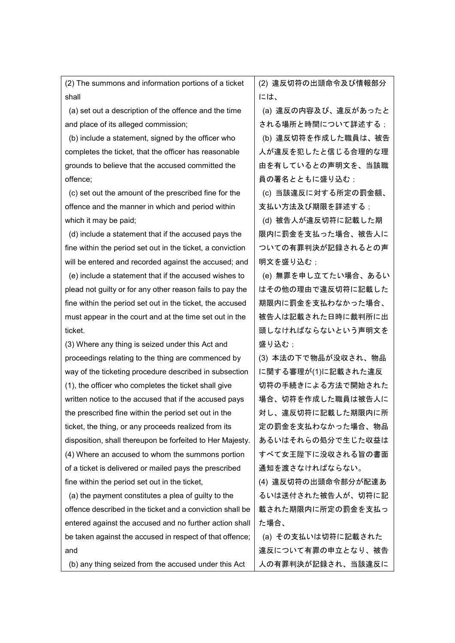(2) The summons and information portions of a ticket shall (a) set out a description of the offence and the time and place of its alleged commission;

(b) include a statement, signed by the officer who completes the ticket, that the officer has reasonable grounds to believe that the accused committed the offence;

(c) set out the amount of the prescribed fine for the offence and the manner in which and period within which it may be paid;

(d) include a statement that if the accused pays the fine within the period set out in the ticket, a conviction will be entered and recorded against the accused; and

(e) include a statement that if the accused wishes to plead not guilty or for any other reason fails to pay the fine within the period set out in the ticket, the accused must appear in the court and at the time set out in the ticket.

(3) Where any thing is seized under this Act and proceedings relating to the thing are commenced by way of the ticketing procedure described in subsection (1), the officer who completes the ticket shall give written notice to the accused that if the accused pays the prescribed fine within the period set out in the ticket, the thing, or any proceeds realized from its disposition, shall thereupon be forfeited to Her Majesty. (4) Where an accused to whom the summons portion of a ticket is delivered or mailed pays the prescribed fine within the period set out in the ticket,

(a) the payment constitutes a plea of guilty to the offence described in the ticket and a conviction shall be entered against the accused and no further action shall be taken against the accused in respect of that offence; and

(b) any thing seized from the accused under this Act

(2) 違反切符の出頭命令及び情報部分 には、

(a) 違反の内容及び、違反があったと される場所と時間について詳述する;

(b) 違反切符を作成した職員は、被告 人が違反を犯したと信じる合理的な理 由を有しているとの声明文を、当該職 員の署名とともに盛り込む;

(c) 当該違反に対する所定の罰金額、 支払い方法及び期限を詳述する;

(d) 被告人が違反切符に記載した期 限内に罰金を支払った場合、被告人に ついての有罪判決が記録されるとの声 明文を盛り込む;

(e) 無罪を申し立てたい場合、あるい はその他の理由で違反切符に記載した 期限内に罰金を支払わなかった場合、 被告人は記載された日時に裁判所に出 頭しなければならないという声明文を 盛り込む;

(3) 本法の下で物品が没収され、物品 に関する審理が(1)に記載された違反 切符の手続きによる方法で開始された 場合、切符を作成した職員は被告人に 対し、違反切符に記載した期限内に所 定の罰金を支払わなかった場合、物品 あるいはそれらの処分で生じた収益は すべて女王陛下に没収される旨の書面 通知を渡さなければならない。

(4) 違反切符の出頭命令部分が配達あ るいは送付された被告人が、切符に記 載された期限内に所定の罰金を支払っ た場合、

(a) その支払いは切符に記載された 違反について有罪の申立となり、被告 人の有罪判決が記録され、当該違反に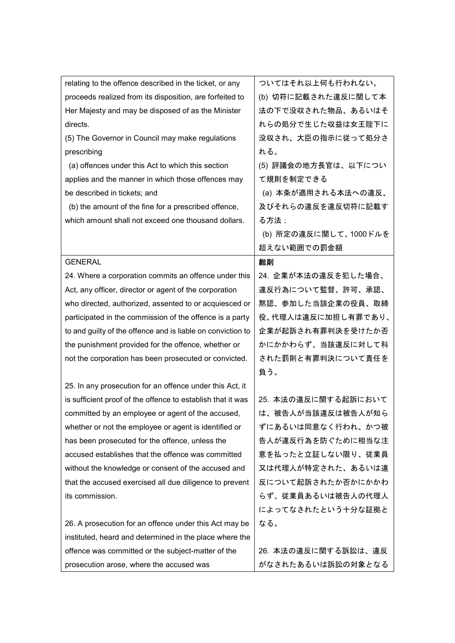| relating to the offence described in the ticket, or any     | ついてはそれ以上何も行われない。      |
|-------------------------------------------------------------|-----------------------|
| proceeds realized from its disposition, are forfeited to    | (b) 切符に記載された違反に関して本   |
| Her Majesty and may be disposed of as the Minister          | 法の下で没収された物品、あるいはそ     |
| directs.                                                    | れらの処分で生じた収益は女王陛下に     |
| (5) The Governor in Council may make regulations            | 没収され、大臣の指示に従って処分さ     |
| prescribing                                                 | れる。                   |
| (a) offences under this Act to which this section           | (5) 評議会の地方長官は、以下につい   |
| applies and the manner in which those offences may          | て規則を制定できる             |
| be described in tickets; and                                | (a) 本条が適用される本法への違反、   |
| (b) the amount of the fine for a prescribed offence,        | 及びそれらの違反を違反切符に記載す     |
| which amount shall not exceed one thousand dollars.         | る方法;                  |
|                                                             | (b) 所定の違反に関して、1000ドルを |
|                                                             | 超えない範囲での罰金額           |
| <b>GENERAL</b>                                              | 総則                    |
| 24. Where a corporation commits an offence under this       | 24. 企業が本法の違反を犯した場合、   |
| Act, any officer, director or agent of the corporation      | 違反行為について監督、許可、承認、     |
| who directed, authorized, assented to or acquiesced or      | 黙認、参加した当該企業の役員、取締     |
| participated in the commission of the offence is a party    | 役、代理人は違反に加担し有罪であり、    |
| to and guilty of the offence and is liable on conviction to | 企業が起訴され有罪判決を受けたか否     |
| the punishment provided for the offence, whether or         | かにかかわらず、当該違反に対して科     |
| not the corporation has been prosecuted or convicted.       | された罰則と有罪判決について責任を     |
|                                                             | 負う。                   |
| 25. In any prosecution for an offence under this Act, it    |                       |
| is sufficient proof of the offence to establish that it was | 25. 本法の違反に関する起訴において   |
| committed by an employee or agent of the accused,           | は、被告人が当該違反は被告人が知ら     |
| whether or not the employee or agent is identified or       | ずにあるいは同意なく行われ、かつ被     |
| has been prosecuted for the offence, unless the             | 告人が違反行為を防ぐために相当な注     |
| accused establishes that the offence was committed          | 意を払ったと立証しない限り、従業員     |
| without the knowledge or consent of the accused and         | 又は代理人が特定された、あるいは違     |
| that the accused exercised all due diligence to prevent     | 反について起訴されたか否かにかかわ     |
| its commission.                                             | らず、従業員あるいは被告人の代理人     |
|                                                             | によってなされたという十分な証拠と     |
| 26. A prosecution for an offence under this Act may be      | なる。                   |
| instituted, heard and determined in the place where the     |                       |
| offence was committed or the subject-matter of the          | 26. 本法の違反に関する訴訟は、違反   |
| prosecution arose, where the accused was                    | がなされたあるいは訴訟の対象となる     |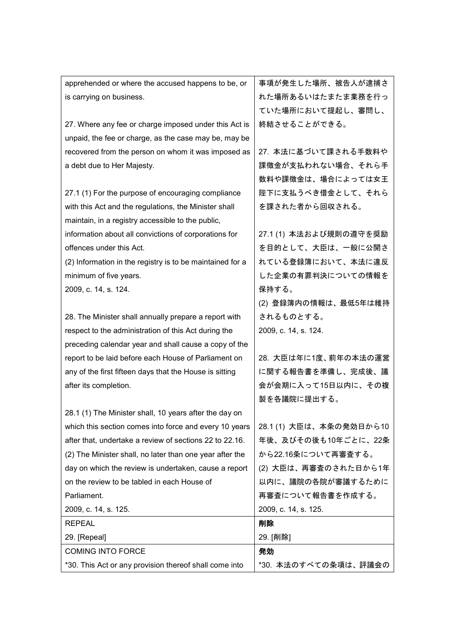| apprehended or where the accused happens to be, or        | 事項が発生した場所、被告人が逮捕さ       |
|-----------------------------------------------------------|-------------------------|
| is carrying on business.                                  | れた場所あるいはたまたま業務を行っ       |
|                                                           | ていた場所において提起し、審問し、       |
| 27. Where any fee or charge imposed under this Act is     | 終結させることができる。            |
| unpaid, the fee or charge, as the case may be, may be     |                         |
| recovered from the person on whom it was imposed as       | 27. 本法に基づいて課される手数料や     |
| a debt due to Her Majesty.                                | 課徴金が支払われない場合、それら手       |
|                                                           | 数料や課徴金は、場合によっては女王       |
| 27.1 (1) For the purpose of encouraging compliance        | 陛下に支払うべき借金として、それら       |
| with this Act and the regulations, the Minister shall     | を課された者から回収される。          |
| maintain, in a registry accessible to the public,         |                         |
| information about all convictions of corporations for     | 27.1 (1) 本法および規則の遵守を奨励  |
| offences under this Act.                                  | を目的として、大臣は、一般に公開さ       |
| (2) Information in the registry is to be maintained for a | れている登録簿において、本法に違反       |
| minimum of five years.                                    | した企業の有罪判決についての情報を       |
| 2009, c. 14, s. 124.                                      | 保持する。                   |
|                                                           | (2) 登録簿内の情報は、最低5年は維持    |
| 28. The Minister shall annually prepare a report with     | されるものとする。               |
| respect to the administration of this Act during the      | 2009, c. 14, s. 124.    |
| preceding calendar year and shall cause a copy of the     |                         |
| report to be laid before each House of Parliament on      | 28. 大臣は年に1度、前年の本法の運営    |
| any of the first fifteen days that the House is sitting   | に関する報告書を準備し、完成後、議       |
| after its completion.                                     | 会が会期に入って15日以内に、その複      |
|                                                           | 製を各議院に提出する。             |
| 28.1 (1) The Minister shall, 10 years after the day on    |                         |
| which this section comes into force and every 10 years    | 28.1 (1) 大臣は、本条の発効日から10 |
| after that, undertake a review of sections 22 to 22.16.   | 年後、及びその後も10年ごとに、22条     |
| (2) The Minister shall, no later than one year after the  | から22.16条について再審査する。      |
| day on which the review is undertaken, cause a report     | (2) 大臣は、再審査のされた日から1年    |
| on the review to be tabled in each House of               | 以内に、議院の各院が審議するために       |
| Parliament.                                               | 再審査について報告書を作成する。        |
| 2009, c. 14, s. 125.                                      | 2009, c. 14, s. 125.    |
| <b>REPEAL</b>                                             | 削除                      |
| 29. [Repeal]                                              | 29. [削除]                |
| <b>COMING INTO FORCE</b>                                  | 発効                      |
| *30. This Act or any provision thereof shall come into    | *30. 本法のすべての条項は、評議会の    |